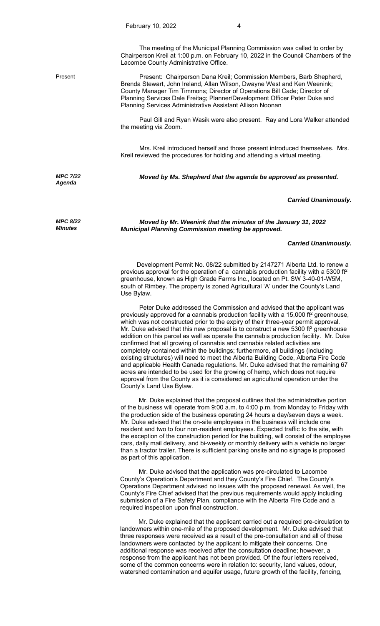The meeting of the Municipal Planning Commission was called to order by Chairperson Kreil at 1:00 p.m. on February 10, 2022 in the Council Chambers of the Lacombe County Administrative Office.

Present Present: Chairperson Dana Kreil; Commission Members, Barb Shepherd, Brenda Stewart, John Ireland, Allan Wilson, Dwayne West and Ken Weenink; County Manager Tim Timmons; Director of Operations Bill Cade; Director of Planning Services Dale Freitag; Planner/Development Officer Peter Duke and Planning Services Administrative Assistant Allison Noonan

> Paul Gill and Ryan Wasik were also present. Ray and Lora Walker attended the meeting via Zoom.

> Mrs. Kreil introduced herself and those present introduced themselves. Mrs. Kreil reviewed the procedures for holding and attending a virtual meeting.

*MPC 7/22 Agenda* 

*MPC 8/22 Minutes*

*Moved by Ms. Shepherd that the agenda be approved as presented.* 

*Carried Unanimously.*

*Moved by Mr. Weenink that the minutes of the January 31, 2022 Municipal Planning Commission meeting be approved.* 

## *Carried Unanimously.*

 Development Permit No. 08/22 submitted by 2147271 Alberta Ltd. to renew a previous approval for the operation of a cannabis production facility with a 5300 ft<sup>2</sup> greenhouse, known as High Grade Farms Inc., located on Pt. SW 3-40-01-W5M, south of Rimbey. The property is zoned Agricultural 'A' under the County's Land Use Bylaw.

 Peter Duke addressed the Commission and advised that the applicant was previously approved for a cannabis production facility with a 15,000 ft<sup>2</sup> greenhouse, which was not constructed prior to the expiry of their three-year permit approval. Mr. Duke advised that this new proposal is to construct a new 5300 ft<sup>2</sup> greenhouse addition on this parcel as well as operate the cannabis production facility. Mr. Duke confirmed that all growing of cannabis and cannabis related activities are completely contained within the buildings; furthermore, all buildings (including existing structures) will need to meet the Alberta Building Code, Alberta Fire Code and applicable Health Canada regulations. Mr. Duke advised that the remaining 67 acres are intended to be used for the growing of hemp, which does not require approval from the County as it is considered an agricultural operation under the County's Land Use Bylaw.

 Mr. Duke explained that the proposal outlines that the administrative portion of the business will operate from 9:00 a.m. to 4:00 p.m. from Monday to Friday with the production side of the business operating 24 hours a day/seven days a week. Mr. Duke advised that the on-site employees in the business will include one resident and two to four non-resident employees. Expected traffic to the site, with the exception of the construction period for the building, will consist of the employee cars, daily mail delivery, and bi-weekly or monthly delivery with a vehicle no larger than a tractor trailer. There is sufficient parking onsite and no signage is proposed as part of this application.

 Mr. Duke advised that the application was pre-circulated to Lacombe County's Operation's Department and they County's Fire Chief. The County's Operations Department advised no issues with the proposed renewal. As well, the County's Fire Chief advised that the previous requirements would apply including submission of a Fire Safety Plan, compliance with the Alberta Fire Code and a required inspection upon final construction.

 Mr. Duke explained that the applicant carried out a required pre-circulation to landowners within one-mile of the proposed development. Mr. Duke advised that three responses were received as a result of the pre-consultation and all of these landowners were contacted by the applicant to mitigate their concerns. One additional response was received after the consultation deadline; however, a response from the applicant has not been provided. Of the four letters received, some of the common concerns were in relation to: security, land values, odour, watershed contamination and aquifer usage, future growth of the facility, fencing,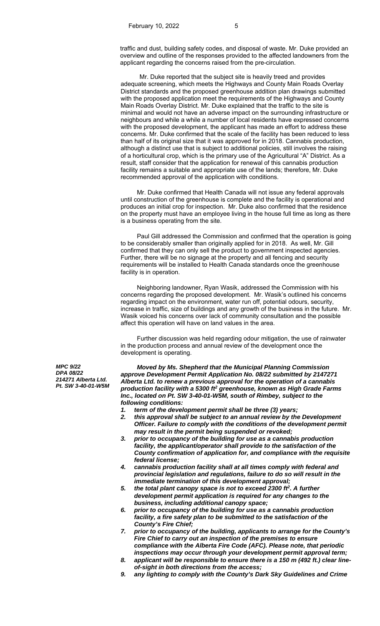traffic and dust, building safety codes, and disposal of waste. Mr. Duke provided an overview and outline of the responses provided to the affected landowners from the applicant regarding the concerns raised from the pre-circulation.

 Mr. Duke reported that the subject site is heavily treed and provides adequate screening, which meets the Highways and County Main Roads Overlay District standards and the proposed greenhouse addition plan drawings submitted with the proposed application meet the requirements of the Highways and County Main Roads Overlay District. Mr. Duke explained that the traffic to the site is minimal and would not have an adverse impact on the surrounding infrastructure or neighbours and while a while a number of local residents have expressed concerns with the proposed development, the applicant has made an effort to address these concerns. Mr. Duke confirmed that the scale of the facility has been reduced to less than half of its original size that it was approved for in 2018. Cannabis production, although a distinct use that is subject to additional policies, still involves the raising of a horticultural crop, which is the primary use of the Agricultural "A" District. As a result, staff consider that the application for renewal of this cannabis production facility remains a suitable and appropriate use of the lands; therefore, Mr. Duke recommended approval of the application with conditions.

 Mr. Duke confirmed that Health Canada will not issue any federal approvals until construction of the greenhouse is complete and the facility is operational and produces an initial crop for inspection. Mr. Duke also confirmed that the residence on the property must have an employee living in the house full time as long as there is a business operating from the site.

Paul Gill addressed the Commission and confirmed that the operation is going to be considerably smaller than originally applied for in 2018. As well, Mr. Gill confirmed that they can only sell the product to government inspected agencies. Further, there will be no signage at the property and all fencing and security requirements will be installed to Health Canada standards once the greenhouse facility is in operation.

Neighboring landowner, Ryan Wasik, addressed the Commission with his concerns regarding the proposed development. Mr. Wasik's outlined his concerns regarding impact on the environment, water run off, potential odours, security, increase in traffic, size of buildings and any growth of the business in the future. Mr. Wasik voiced his concerns over lack of community consultation and the possible affect this operation will have on land values in the area.

Further discussion was held regarding odour mitigation, the use of rainwater in the production process and annual review of the development once the development is operating.

*MPC 9/22 DPA 08/22 214271 Alberta Ltd. Pt. SW 3-40-01-W5M* 

*Moved by Ms. Shepherd that the Municipal Planning Commission approve Development Permit Application No. 08/22 submitted by 2147271 Alberta Ltd. to renew a previous approval for the operation of a cannabis production facility with a 5300 ft2 greenhouse, known as High Grade Farms Inc., located on Pt. SW 3-40-01-W5M, south of Rimbey, subject to the following conditions:* 

- *1. term of the development permit shall be three (3) years;*
- *2. this approval shall be subject to an annual review by the Development Officer. Failure to comply with the conditions of the development permit may result in the permit being suspended or revoked;*
- *3. prior to occupancy of the building for use as a cannabis production facility, the applicant/operator shall provide to the satisfaction of the County confirmation of application for, and compliance with the requisite federal license;*
- *4. cannabis production facility shall at all times comply with federal and provincial legislation and regulations, failure to do so will result in the immediate termination of this development approval;*
- *5. the total plant canopy space is not to exceed 2300 ft2. A further development permit application is required for any changes to the business, including additional canopy space;*
- *6. prior to occupancy of the building for use as a cannabis production facility, a fire safety plan to be submitted to the satisfaction of the County's Fire Chief;*
- *7. prior to occupancy of the building, applicants to arrange for the County's Fire Chief to carry out an inspection of the premises to ensure compliance with the Alberta Fire Code (AFC). Please note, that periodic inspections may occur through your development permit approval term;*
- *8. applicant will be responsible to ensure there is a 150 m (492 ft.) clear lineof-sight in both directions from the access;*
- *9. any lighting to comply with the County's Dark Sky Guidelines and Crime*